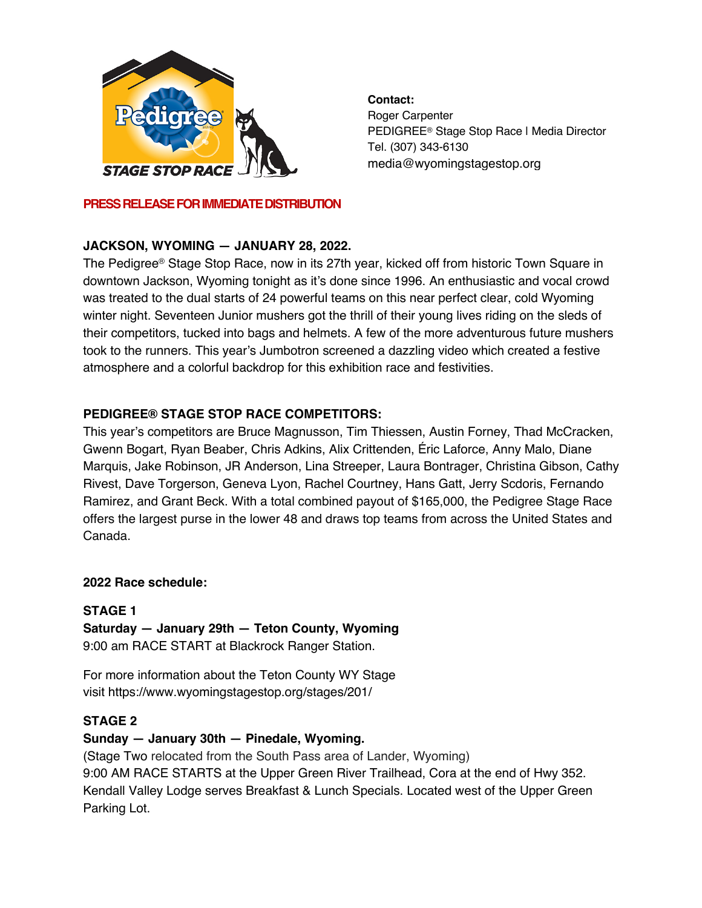

#### **PRESS RELEASE FOR IMMEDIATE DISTRIBUTION**

# **JACKSON, WYOMING — JANUARY 28, 2022.**

The Pedigree® Stage Stop Race, now in its 27th year, kicked off from historic Town Square in downtown Jackson, Wyoming tonight as it's done since 1996. An enthusiastic and vocal crowd was treated to the dual starts of 24 powerful teams on this near perfect clear, cold Wyoming winter night. Seventeen Junior mushers got the thrill of their young lives riding on the sleds of their competitors, tucked into bags and helmets. A few of the more adventurous future mushers took to the runners. This year's Jumbotron screened a dazzling video which created a festive atmosphere and a colorful backdrop for this exhibition race and festivities.

## **PEDIGREE® STAGE STOP RACE COMPETITORS:**

This year's competitors are Bruce Magnusson, Tim Thiessen, Austin Forney, Thad McCracken, Gwenn Bogart, Ryan Beaber, Chris Adkins, Alix Crittenden, Éric Laforce, Anny Malo, Diane Marquis, Jake Robinson, JR Anderson, Lina Streeper, Laura Bontrager, Christina Gibson, Cathy Rivest, Dave Torgerson, Geneva Lyon, Rachel Courtney, Hans Gatt, Jerry Scdoris, Fernando Ramirez, and Grant Beck. With a total combined payout of \$165,000, the Pedigree Stage Race offers the largest purse in the lower 48 and draws top teams from across the United States and Canada.

#### **2022 Race schedule:**

## **STAGE 1**

**Saturday — January 29th — Teton County, Wyoming** 9:00 am RACE START at Blackrock Ranger Station.

For more information about the Teton County WY Stage visit https://www.wyomingstagestop.org/stages/201/

#### **STAGE 2**

## **Sunday — January 30th — Pinedale, Wyoming.**

(Stage Two relocated from the South Pass area of Lander, Wyoming) 9:00 AM RACE STARTS at the Upper Green River Trailhead, Cora at the end of Hwy 352. Kendall Valley Lodge serves Breakfast & Lunch Specials. Located west of the Upper Green Parking Lot.

**Contact:**

Roger Carpenter PEDIGREE® Stage Stop Race | Media Director Tel. (307) 343-6130 media@wyomingstagestop.org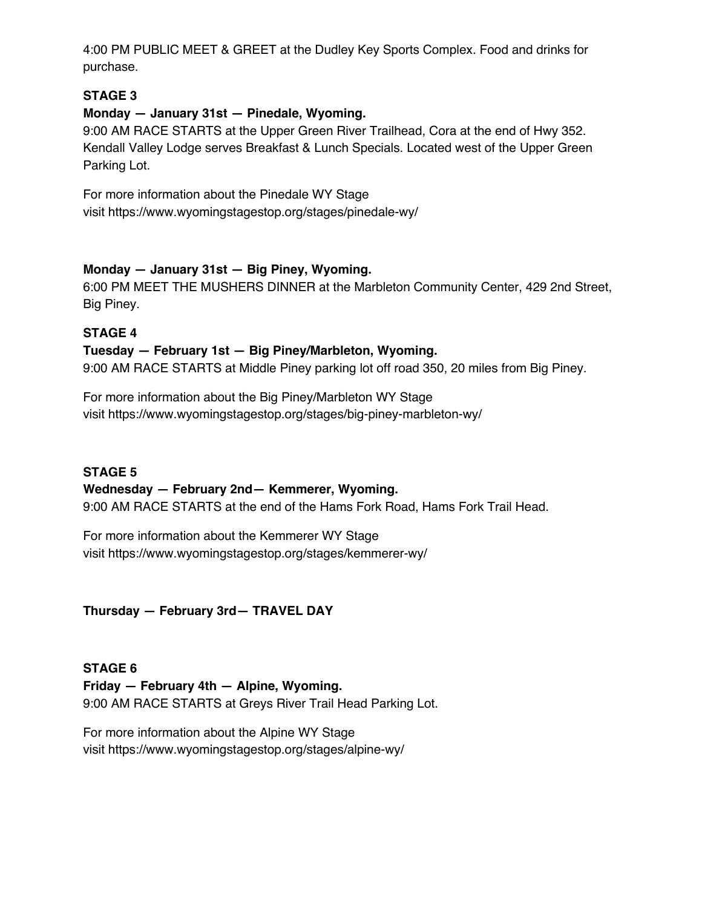4:00 PM PUBLIC MEET & GREET at the Dudley Key Sports Complex. Food and drinks for purchase.

## **STAGE 3**

## **Monday — January 31st — Pinedale, Wyoming.**

9:00 AM RACE STARTS at the Upper Green River Trailhead, Cora at the end of Hwy 352. Kendall Valley Lodge serves Breakfast & Lunch Specials. Located west of the Upper Green Parking Lot.

For more information about the Pinedale WY Stage visit https://www.wyomingstagestop.org/stages/pinedale-wy/

## **Monday — January 31st — Big Piney, Wyoming.**

6:00 PM MEET THE MUSHERS DINNER at the Marbleton Community Center, 429 2nd Street, Big Piney.

#### **STAGE 4**

#### **Tuesday — February 1st — Big Piney/Marbleton, Wyoming.**

9:00 AM RACE STARTS at Middle Piney parking lot off road 350, 20 miles from Big Piney.

For more information about the Big Piney/Marbleton WY Stage visit https://www.wyomingstagestop.org/stages/big-piney-marbleton-wy/

## **STAGE 5**

# **Wednesday — February 2nd— Kemmerer, Wyoming.**

9:00 AM RACE STARTS at the end of the Hams Fork Road, Hams Fork Trail Head.

For more information about the Kemmerer WY Stage visit https://www.wyomingstagestop.org/stages/kemmerer-wy/

**Thursday — February 3rd— TRAVEL DAY**

**STAGE 6 Friday — February 4th — Alpine, Wyoming.** 9:00 AM RACE STARTS at Greys River Trail Head Parking Lot.

For more information about the Alpine WY Stage visit https://www.wyomingstagestop.org/stages/alpine-wy/